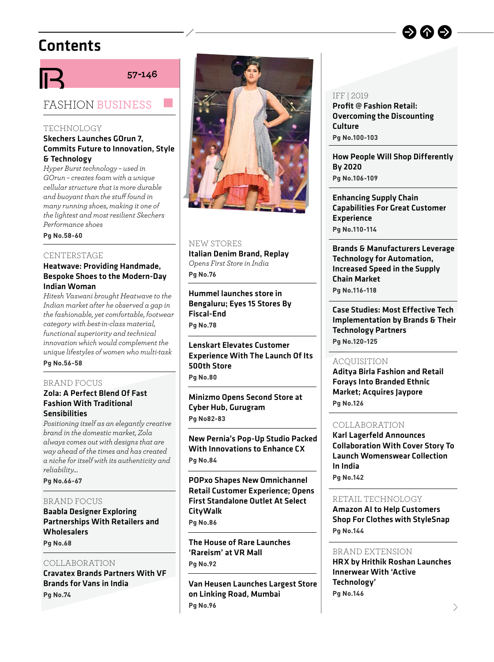# **Contents**





**57-146**

## FASHION BUSINESS

#### TECHNOLOGY

## Skechers Launches GOrun 7, Commits Future to Innovation, Style & Technology

*Hyper Burst technology – used in GOrun – creates foam with a unique cellular structure that is more durable and buoyant than the stuff found in many running shoes, making it one of the lightest and most resilient Skechers Performance shoes*

#### Pa No.58-60 **Pg No.58-60**

#### CENTERSTAGE

## Heatwave: Providing Handmade, Bespoke Shoes to the Modern-Day Indian Woman

*Hitesh Vaswani brought Heatwave to the Indian market after he observed a gap in the fashionable, yet comfortable, footwear category with best-in-class material, functional superiority and technical innovation which would complement the unique lifestyles of women who multi-task*

#### Pa No.56-58 **Pg No.56-58**

#### BRAND FOCUS

## Zola: A Perfect Blend Of Fast Fashion With Traditional Sensibilities

*Positioning itself as an elegantly creative brand in the domestic market, Zola always comes out with designs that are way ahead of the times and has created a niche for itself with its authenticity and reliability…*

#### Pa No.66-67 **Pg No.66-67**

### BRAND FOCUS

Baabla Designer Exploring Partnerships With Retailers and **Wholesalers** 

# **Pg No.68**

COLLABORATION Cravatex Brands Partners With VF Brands for Vans in India **Pg No.74**



#### NEW STORES

Italian Denim Brand, Replay *Opens First Store in India* **Pa No.76 Pg No.76**

Hummel launches store in Bengaluru; Eyes 15 Stores By Fiscal-End **Pa No.78 Pg No.78**

Lenskart Elevates Customer Experience With The Launch Of Its 500th Store **Pg No.80**

Minizmo Opens Second Store at Cyber Hub, Gurugram **Pg No82-83**

New Pernia's Pop-Up Studio Packed With Innovations to Enhance CX **Pg No.84**

POPxo Shapes New Omnichannel Retail Customer Experience; Opens First Standalone Outlet At Select **CityWalk Pg No.86**

The House of Rare Launches 'Rareism' at VR Mall **Pa No.92 Pg No.92**

Van Heusen Launches Largest Store on Linking Road, Mumbai **Pa No.96 Pg No.96**

### IFF | 2019

Profit @ Fashion Retail: Overcoming the Discounting Culture **Pg No.100-103**

How People Will Shop Differently By 2020 **Pg No.106-109**

Enhancing Supply Chain Capabilities For Great Customer Experience **Pg No.110-114**

Brands & Manufacturers Leverage Technology for Automation, Increased Speed in the Supply Chain Market Pa No.116-118 **Pg No.116-118**

Case Studies: Most Effective Tech Implementation by Brands & Their Technology Partners Pa No.120-125 **Pg No.120-125**

## ACQUISITION

Aditya Birla Fashion and Retail Forays Into Branded Ethnic Market; Acquires Jaypore **Pg No.126**

#### COLLABORATION

Karl Lagerfeld Announces Collaboration With Cover Story To Launch Womenswear Collection In India

**Pg No.142**

### RETAIL TECHNOLOGY

Amazon AI to Help Customers Shop For Clothes with StyleSnap **Pg No.144**

#### BRAND EXTENSION

HRX by Hrithik Roshan Launches Innerwear With 'Active Technology' **Pg No.146**